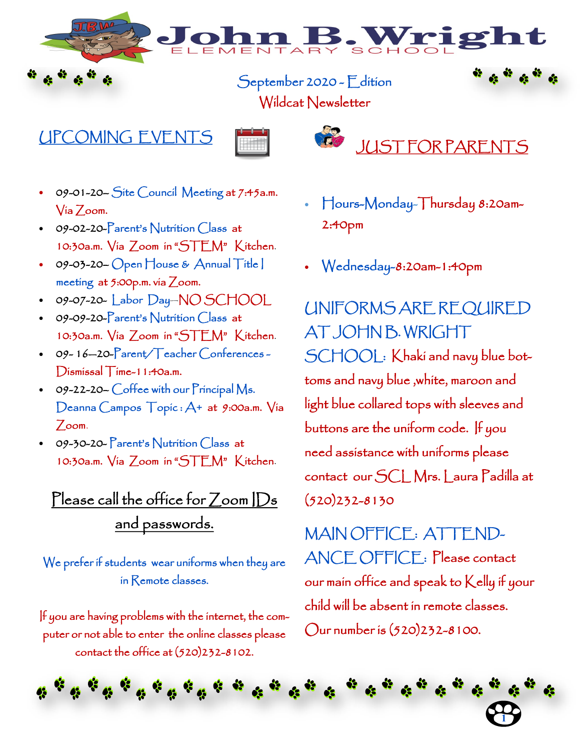**. Wrig** 

September 2020 - Edition

Wildcat Newsletter

#### UPCOMING EVENTS





- 09-01-20– Site Council Meeting at 7:45a.m. Via Zoom.
- 09-02-20-Parent's Nutrition Class at 10:30a.m. Via Zoom in "STEM" Kitchen.
- 09-03-20- Open House & Annual Title | meeting at 5:00p.m. via Zoom.
- 09-07-20- Labor Day—NO SCHOOL
- 09-09-20-Parent's Nutrition Class at 10:30a.m. Via Zoom in "STEM" Kitchen.
- 09-16-20-Parent/Teacher Conferences -Dismissal Time-11:40a.m.
- 09-22-20- Coffee with our Principal Ms. Deanna Campos Topic : A+ at 9:00a.m. Via Zoom.
- 09-30-20- Parent's Nutrition Class at 10:30a.m. Via Zoom in "STEM" Kitchen.

## Please call the office for Zoom | Ds and passwords.

We prefer if students wear uniforms when they are in Remote classes.

If you are having problems with the internet, the computer or not able to enter the online classes please contact the office at (520)232-8102.

- Hours-Monday-Thursday 8:20am-2:40pm
- Wednesday-8:20am-1:40pm

UNIFORMS ARE REQUIRED AT JOHN B. WRIGHT SCHOOL: Khaki and navy blue bottoms and navy blue ,white, maroon and light blue collared tops with sleeves and buttons are the uniform code. If you need assistance with uniforms please contact our SCL Mrs. Laura Padilla at (520)232-8130

MAIN OFFICE: ATTEND-ANCE OFFICE: Please contact our main office and speak to Kelly if your child will be absent in remote classes. Our number is (520)232-8100.

**1**